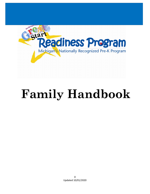

# **Family Handbook**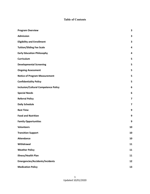# **Table of Contents**

| <b>Program Overview</b>                     | $\overline{\mathbf{3}}$ |
|---------------------------------------------|-------------------------|
| <b>Admission</b>                            | 3                       |
| <b>Eligibility and Enrollment</b>           | 3                       |
| <b>Tuition/Sliding Fee Scale</b>            | 4                       |
| <b>Early Education Philosophy</b>           | 4                       |
| Curriculum                                  | 5                       |
| <b>Developmental Screening</b>              | 5                       |
| <b>Ongoing Assessment</b>                   | 5                       |
| <b>Notice of Program Measurement</b>        | 5                       |
| <b>Confidentiality Policy</b>               | 5                       |
| <b>Inclusion/Cultural Competence Policy</b> | 6                       |
| <b>Special Needs</b>                        | 6                       |
| <b>Referral Policy</b>                      | 7                       |
| <b>Daily Schedule</b>                       | 7                       |
| <b>Rest Time</b>                            | 9                       |
| <b>Food and Nutrition</b>                   | 9                       |
| <b>Family Opportunities</b>                 | 9                       |
| <b>Volunteers</b>                           | 10                      |
| <b>Transition Support</b>                   | 10                      |
| <b>Attendance</b>                           | 10                      |
| Withdrawal                                  | 11                      |
| <b>Weather Policy</b>                       | 11                      |
| <b>Illness/Health Plan</b>                  | 11                      |
| <b>Emergencies/Accidents/Incidents</b>      | 12                      |
| <b>Medication Policy</b>                    | 13                      |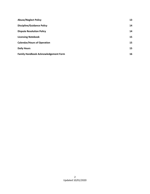| <b>Abuse/Neglect Policy</b>          | 13 |
|--------------------------------------|----|
| <b>Discipline/Guidance Policy</b>    | 14 |
| <b>Dispute Resolution Policy</b>     | 14 |
| <b>Licensing Notebook</b>            | 15 |
| <b>Calendar/Hours of Operation</b>   | 15 |
| <b>Daily Hours</b>                   | 15 |
| Family Handbook Acknowledgement Form | 16 |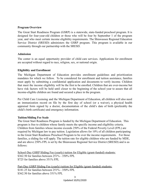### **Program Overview**

The Great Start Readiness Program (GSRP) is a statewide, state-funded preschool program. It is designed for four-year-old children or those who will be four by September 1 of the program year, and who meet certain income eligibility requirements. The Shiawassee Regional Education Service District (SRESD) administers the GSRP program. This program is available in our community through our partnership with the SRESD.

### **Admission**

The center is an equal opportunity provider of child care services. Applications for enrollment are accepted without regard to race, religion, sex, or national origin.

## **Eligibility and Enrollment**

The Michigan Department of Education provides enrollment guidelines and prioritization mandates for which we follow. To be considered for enrollment and tuition assistance, families must apply by submitting a confidential application and documents to verify income. Children that meet the income eligibility will be the first to be enrolled. Children that are over-income but have risk factors will be held until closer to the beginning of the school year to assure that all income-eligible children are found and secured a place in the program.

Per Child Care Licensing and the Michigan Department of Education, all children will also need an immunization record on file by the first day of school (or a waiver), a physical health appraisal form signed by a doctor, documentation of the child's date of birth (preferably the child's birth certificate) and emergency information.

#### **Tuition/Sliding Fee Scale**

The Great Start Readiness Program is funded by the Michigan Department of Education. This program is free to children whose family meets the specific income and eligibility criteria. Children from families whose income exceeds 250% of the Federal Poverty Level (FPL) are required by Michigan law to pay tuition. Legislation allows for 10% of all children participating in the Great Start Readiness Preschool Program to be over the income requirements. For those families, a sliding fee will apply. The tuition rate for eligible children who are funded by MDE, and are above 250% FPL is set by the Shiawassee Regional Service District (SRESD) and is as follows:

School-Day GSRP Sliding Fee (yearly) tuition for Eligible (grant-funded) students: \$362.50 for families between 251% - 350% FPL \$725 for families above 351% FPL

Part-Day GSRP Sliding Fee (yearly) tuition for Eligible (grant-funded) students: \$181.25 for families between 251% - 350% FPL \$362.50 for families above 351% FPL

> 3 Updated 10/01/2020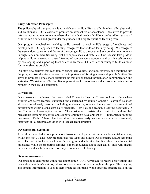# **Early Education Philosophy**

The philosophy of our program is to enrich each child's life socially, intellectually, physically and emotionally. Our classrooms promote an atmosphere of acceptance. We strive to provide safe and nurturing environments where the individual needs of children can be addressed and all children can flourish and grow under the guidance of a highly qualified teaching team.

Our program emphasizes teaching skills geared to each child's stage of readiness and development. Our approach to learning recognizes that children learn by doing. We recognize the tremendous capacity and desire of the young child to discover and explore their environment through hands-on activities using real-life experiences and materials. Our teachers take pride in helping children develop an overall feeling of competence, autonomy, and positive self-concept by challenging and supporting them as active learners. Children are encouraged to do as much for themselves as possible.

Our staff also believes that each family brings their values, language, diversity and traditions into the program. We, therefore, recognize the importance of forming a partnership with families. We strive to promote home/school relationships that are enhanced through open communication and activities. We strive to offer families opportunities for involvement that promote their roles as partners in their child's education.

# **Curriculum**

Our classrooms implement the research-led Connect 4 Learning*®* preschool curriculum where children are active learners, supported and challenged by adults. Connect 4 Learning*®* balances all domains of early learning, including mathematics, science, literacy and social-emotional development within a consistent daily schedule. Both play and academic learning occur daily in the Connect 4 Learning*®* classroom. The curriculum consists of six units that address 140 measurable learning objectives and supports children's development of 10 fundamental thinking processes. Each of these objectives aligns with state early learning standards and seamlessly integrates child-centered activities with teacher-led instruction.

## **Developmental Screening**

All children enrolled in our preschool classrooms will participate in a developmental screening within the first 30 days. Our program uses the Ages and Stages Ouestionnaire (ASO) screening tool. The ASQ looks at each child's strengths and educates families about developmental milestones while incorporating families' expert knowledge about their child. Staff will discuss the results with each family and note any recommended follow-up.

## **Ongoing Assessment**

Our preschool classrooms utilize the HighScope® COR Advantage to record observations and notes about children's actions, interactions and conversations throughout the year. This ongoing assessment information is used to help create lesson plans, while targeting specific skills in the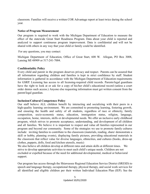classroom. Families will receive a written COR Advantage report at least twice during the school year.

# **Notice of Program Measurement**

Our program is required to work with the Michigan Department of Education to measure the effect of the statewide Great Start Readiness Program. Data about your child is reported and analyzed to support continuous program improvement. Data is confidential and will not be shared with others in any way that your child or family could be identified.

For any questions, you may contact:

Michigan Department of Education, Office of Great Start, 608 W. Allegan, PO Box 3008, Lansing MI 48909 or 517-241-7004.

# **Confidentiality Policy**

Every child and parent in the program deserves privacy and respect. Parents can be assured that all information regarding children and families is kept in strict confidence by staff. Student information is gathered in accordance with the Michigan Department of Education requirements for GSRP. Licensing has access to all licensing-required child records. Parents/legal guardians have the right to look at or ask for a copy of his/her child's educational record (unless a court order denies such access.) Anyone else requesting information must get written consent from the parent/legal guardian.

## **Inclusion/Cultural Competence Policy**

Our staff believe ALL children benefit by interacting and socializing with their peers in a high-quality learning environment. We are committed to promoting learning, fostering growth, and ensuring the health and safety of all students, regardless of race or ethnicity, family composition, socio-economic status, education, immigration status, religion, language, occupation, home, interests, skills or developmental needs. We offer an inclusive early childhood program, which strives to promote acceptance, understanding, and development of all children and all families. We believe it is important to respect and value all families represented in our program and beyond our community. Some of the strategies we use to promote family cultures include: inviting families to contribute to the classroom (materials, reading, share/ demonstrate a skill or hobby, planning events), displaying family pictures, providing educational materials in the classroom that reflect value for diverse languages, ethnicities, and cultures (books, dress-up clothes, puppets, dolls, food and kitchen utensils, music)

We also believe all children develop at different rates and attain skills at different times. We strive to develop appropriate activities to meet each child's unique needs. Children are not excluded or expelled because of the need for additional developmental, medical or behavioral support.

Our program has access through the Shiawassee Regional Education Service District (SRESD) to speech and language therapy, occupational therapy, physical therapy, and social work services for all identified and eligible children per their written Individual Education Plan (IEP). See the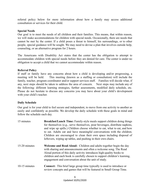referral policy below for more information about how a family may access additional consultation or services for their child.

# **Special Needs**

Our goal is to meet the needs of all children and their families. This means, that within reason, we will make accommodations for children with special needs. Occasionally, there are needs that cannot be met by the center. If a child poses a threat to himself, his surroundings, or to other people, special guidance will be sought. We may need to devise a plan that involves outside help, counseling, or an alternative program for 2 hours.

The Americans with Disability Act states that the center has the obligation to attempt to accommodate children with special needs before they are denied for care. The center is under no obligation to accept a child that we cannot accommodate within reason.

# **Referral Policy**

If staff or family have any concerns about how a child is developing and/or progressing, a meeting will be held. This meeting (known as a staffing or consultation) will include the family, teacher, program coordinator and/or support services staff. Families will decide what, if any, next steps should be taken to address the area of concern. Next steps may include any of the following: different learning strategies, further assessments, modified daily schedule, etc. Please do not hesitate to discuss any concerns you may have about your child's development with your child's teacher.

# **Daily Schedule**

Our goal is for your child to feel secure and independent, to move from one activity to another as easily and confidently as possible. We develop the daily schedule with these goals in mind and follow the schedule each day.

| 15 minutes    | <b>Breakfast/Lunch Time:</b> Family-style meals support children doing things<br>for themselves (e.g., serve themselves, pour beverages, distribute napkins,<br>and wipe up spills.) Children choose whether to eat, what to eat, and how<br>to eat. Adults eat and have meaningful conversations with the children.<br>Children are encouraged to clean their own space including disposal of<br>leftovers, wiping up tables, and pushing in their own chairs. |
|---------------|-----------------------------------------------------------------------------------------------------------------------------------------------------------------------------------------------------------------------------------------------------------------------------------------------------------------------------------------------------------------------------------------------------------------------------------------------------------------|
| 15-20 minutes | <b>Welcome and Read Aloud:</b> Children and adults together begin the day<br>with sharing and announcements and often a welcome song. The Read<br>Aloud portion of this daily activity introduces high-quality books to<br>children and each book is carefully chosen to support children's learning,<br>engagement and conversation about the unit of study.                                                                                                   |
| 10-15 minutes | <b>Connect:</b> This brief large group time typically is used to introduce or<br>review concepts and games that will be featured in Small Group Time.                                                                                                                                                                                                                                                                                                           |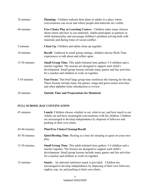| 10 minutes    | <b>Planning:</b> Children indicate their plans to adults in a place where<br>conversations can occur and where people and materials are visible.                                                                                                                                 |
|---------------|----------------------------------------------------------------------------------------------------------------------------------------------------------------------------------------------------------------------------------------------------------------------------------|
| 60 minutes    | Free Choice Play at Learning Centers: Children make many choices<br>about where and how to use materials. Adults participate as partners in<br>child-initiated play and encourage children's problem solving both with<br>materials and during times of social conflict.         |
| 5 minutes     | <b>Clean Up:</b> Children and adults clean up together.                                                                                                                                                                                                                          |
| 10 minutes    | <b>Recall:</b> Gathered in small group settings, children choose Work Time<br>experiences to talk about and reflect upon.                                                                                                                                                        |
| 15-30 minutes | <b>Small Group Time:</b> This adult-initiated time gathers 3-4 children and a<br>teacher together. The lessons are designed to support each child's<br>development. Small group lessons include many games and fun activities<br>for a teacher and children to work on together. |
| 5-10 minutes  | <b>Fast Focus:</b> This brief large group time reinforces the learning for the day.<br>These lessons include many fun games, songs and gross-motor activities<br>and often alphabet letter introduction or review.                                                               |
| 30 minutes    | <b>Outside Time and Preparations for Dismissal</b>                                                                                                                                                                                                                               |

# **FULL SCHOOL-DAY CONTINUATION**

| 45 minutes    | Lunch: Children choose whether to eat, what to eat, and how much to eat.<br>Adults eat and have meaningful conversations with the children. Children<br>are encouraged to develop independence by disposal of leftovers and<br>pushing in their own chairs                       |
|---------------|----------------------------------------------------------------------------------------------------------------------------------------------------------------------------------------------------------------------------------------------------------------------------------|
| 45-60 minutes | <b>Plan/Free Choice/Cleanup/Recall</b>                                                                                                                                                                                                                                           |
| 45-50 minutes | <b>Quiet/Resting Time:</b> Resting is a time for sleeping or quiet on-your-own<br>play.                                                                                                                                                                                          |
| 15-30 minutes | <b>Small Group Time:</b> This adult-initiated time gathers 3-4 children and a<br>teacher together. The lessons are designed to support each child's<br>development. Small group lessons include many games and fun activities<br>for a teacher and children to work on together. |
| 15 minutes    | <b>Snack:</b> An optional nutritious snack is provided. Children are<br>encouraged to develop independence by disposing of their own leftovers,<br>napkin, cup, etc and pushing in their own chairs.                                                                             |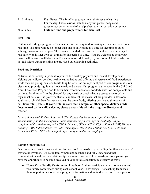| 5-10 minutes | <b>Fast Focus:</b> This brief large group time reinforces the learning   |
|--------------|--------------------------------------------------------------------------|
|              | For the day. These lessons include many fun games, songs and             |
|              | gross-motor activities and often alphabet letter introduction or review. |
| 30 minutes   | Outdoor time and preparations for dismissal                              |

# **Rest Time**

Children attending a program of 5 hours or more are required to participate in a quiet afternoon rest time. This time will be no longer than one hour. Resting is a time for sleeping or quiet, solitary, on-your-own cot play. The room will be darkened and each child will be encouraged to rest quietly on his/her own cot or mat for this period of time. You are welcome to send your own small pillow, small blanket and/or an item to cuddle with, if you choose. Children who do not fall asleep during rest time are provided quiet learning activities.

# **Food and Nutrition**

Nutrition is extremely important to your child's healthy physical and mental development. Helping our children develop healthy eating habits and offering a diverse set of food experiences while they are young, can lead to life-long benefits. As an important part of our program, it is our pleasure to provide highly nutritious meals and snacks. Our program participates in the Child and Adult Care Food Program and follows their recommendations for daily nutrition components and portions. Families will not be charged for any meals or snacks that are served as part of the regular school day. It is preferred that all children eat the meals that are provided. Classroom adults also join children for meals and eat the same foods, offering positive adult models of nutritious eating habits. **If your child has any food allergies or other special dietary needs documented by the child's doctor, please discuss this with the program director and teacher.**

*In accordance with Federal Law and USDA Policy, this institution is prohibited from discriminating on the basis of race, color, national origin, sex, age or disability. To file a complaint of discrimination, write USDA, Director, Office of Civil Rights, Room 326-W, Whitten Building, 1400 Independence Ave., SW, Washington, DC 20250-9410 or call (202) 720-5964 (voice and TDD). USDA is an equal opportunity provider and employer*.

# **Family Opportunities**

Our program strives to create a strong home-school partnership by providing families a variety of ways to be involved. We value family input and feedback and fully understand that communication and positive relationships are keys to successful partnerships. As a parent, you have the opportunity to become involved in your child's education in a variety of ways.

● **Home Visits/Family Conferences**: Preschool families participate in two home visits and two family conferences during each school year (Fall/Spring). The teaching team uses these opportunities to provide program information and individualized activities, promote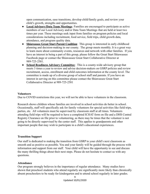open communication, ease transitions, develop child/family goals, and review your child's growth, strengths and opportunities.

- **Local Advisory/Data Team Meetings**: Families are encouraged to participate as active members of our Local Advisory and/or Data Team Meetings that are held at least two times per year. These meetings seek input from families on program policies and local considerations including recruitment, food service, field trips, child growth data, attendance, and program quality data.
- **Shiawassee Great Start Parent Coalition**: This group is interested in early childhood planning and decision-making in our county. The group meets monthly. It is a great way to learn more about community events, resources and network with other families. If you have an interest in being a part of this group, please follow the Great Start Shiawassee Facebook page or contact the Shiawassee Great Start Collaborative Director at 989-725-2581.
- **School Readiness Advisory Committee**: This is a county-wide advisory group that meets 3 times a year to review and advise decision-makers on GSRP policies and review recruitment, access, enrollment and child outcomes information at the county level. The committee is made up of a diverse group of school staff and parents. If you have an interest in serving on this committee please contact the Shiawassee Great Start Collaborative Director at 989-725-2581

## **Volunteers**

Due to COVID restrictions this year, we will not be able to have volunteers in the classroom.

Research shows children whose families are involved in school activities do better in school. Occasionally, staff will specifically ask for family volunteers for special activities like field trips, parties, etc. All volunteers must be supervised by classroom staff at all times. Volunteers attending field trips will be required to have a completed ICHAT form on file and a DHS Central Registry Clearance on file prior to volunteering, as there may be times that the volunteer is not going to be directly supervised by the center staff. This applies to grandparents and other important people that may wish to participate in a child's educational experiences.

# **Transition Support**

Our staff is dedicated to making the transition from GSRP to your child's next classroom as smooth and as positive as possible. You and your family will be guided through the process with information and support from our staff. Your child will have the opportunity to see and discuss the many thrilling things about their next steps. Please do not hesitate to contact us with any questions.

## **Attendance**

Our program strongly believes in the importance of regular attendance. Many studies have shown that preschool students who attend regularly are significantly more likely than chronically absent preschoolers to be ready for kindergarten and to attend school regularly in later grades.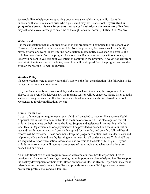We would like to help you in supporting good attendance habits in your child. We fully understand that circumstances arise where your child may not be at school. **If your child is going to be absent, it is very important that you call and inform the teacher or office.** You may call and leave a message at any time of the night or early morning. Office: 810-266-4671

## **Withdrawal**

It is the expectation that all children enrolled in our program will complete the full school year. However, if you need to withdraw your child from the program, for reasons such as a family move, chronic or severe illness limiting participation, please notify us as soon as possible. If a child has been absent from the program for more than 10 consecutive days without notice, a letter will be sent to you asking if you intend to continue in the program. If we do not hear from you within the time stated in the letter, your child will be dropped from the program and another child on the waiting list will be enrolled.

# **Weather Policy**

If severe weather were to arise, your child's safety is the first consideration. The following is the policy for bad weather conditions:

If Byron Area Schools are closed or delayed due to inclement weather, the program will be closed. In the event of a delayed start, the morning session will be canceled. Please listen to radio stations serving the area for all school weather related announcements. We also offer School Messenger to receive notifications by text.

# **Illness/Health Plan**

As part of the program requirements, each child will be asked to have on file a current Health Appraisal that is less than 12 months old at the time of enrollment. It is also required that all children be up to date on their immunizations. Support and assistance in connecting with the local Health Department and or a physician will be provided as needed, but the immunization law and health requirements will be strictly applied for the safety and benefit of all. All health records will be reviewed. These documents keep the program compliant with childcare laws and help to provide a safe and healthy learning environment for all students and staff. Each fall we are required to report vaccination information and waivers to the State of Michigan. If your child is not current, you will receive a pre-generated letter indicating what vaccinations are needed and due dates.

As an additional part of our program, we also welcome our local health department here to provide annual vision and hearing screenings as an important service in helping families support the healthy development of their child. Based on those results, the Health Department may make referrals or recommendations to families and provide assistance in linking services between health care professionals and our families.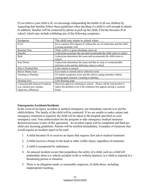If you believe your child is ill, we encourage safeguarding the health of all our children by requesting that families follow these guidelines when deciding if a child is well enough to attend. In addition, families will be contacted by phone to pick up the child, if he/she becomes ill at school, which may include exhibiting any of the following symptoms:

| Symptom                                                                             | The child may return to school when                                                                                                                            |  |
|-------------------------------------------------------------------------------------|----------------------------------------------------------------------------------------------------------------------------------------------------------------|--|
| Fever                                                                               | Fever registers 98.6 degrees F without the use of medication and the child<br>is acting normally well                                                          |  |
| <b>Running Nose</b>                                                                 | Thick, yellow or green discharge clears up                                                                                                                     |  |
| Earache                                                                             | A physician examines the ears and recommends the child return to school                                                                                        |  |
| Rash                                                                                | A physician determines the cause and recommends the child return to<br>school                                                                                  |  |
| Sore Throat                                                                         | A physician determines the cause and that no strep or communicable<br>infection exists and the child may return to school                                      |  |
| Pale or Flushed Skin                                                                | Color returns to normal                                                                                                                                        |  |
| Red or Watery Eyes                                                                  | Eyes return to normal and no infection exists                                                                                                                  |  |
| Vomiting or Diarrhea                                                                | No further symptoms exists and the child is eating normally without<br>causing upset stomach, vomiting or diarrhea                                             |  |
| Draining Sore                                                                       | Until draining stops                                                                                                                                           |  |
| Communicable Disease/Condition<br>(e.g. chicken pox, mumps,<br>ringworm, influenza) | Physician approves returning to school. Please call the lead teacher to<br>report this problem even if the condition first appears during a vacation<br>break. |  |

## **Emergencies/Accidents/Incidents**

In the event of an injury, accident or medical emergency our immediate concern is to aid the child/children. The family of the child will be contacted. If we are unable to make contact and emergency treatment is required, the child will be taken to the hospital specified on your emergency card. Your authorization for the program to take emergency medical measures deemed necessary is part of this agreement. An accident report will be completed and filed per child care licensing guidelines. Parents will be notified immediately. Examples of situations that would require an incident report to be used:

- 1. A child becomes ill or receives an injury that requires first aid or medical treatment.
- 2. A child receives a bump on the head or other visible injury, regardless of treatment.
- 3. A child is transported by ambulance.
- 4. An unusual incident occurs that jeopardizes the safety of a child, such as a child left unattended, there is a vehicle accident (with or without injuries), or a child is exposed to a threatening person or situation.
- 5. There is an allegation made, or reasonable suspicion, of child abuse, including inappropriate touching.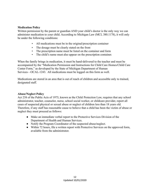# **Medication Policy**

Written permission by the parent or guardian AND your child's doctor is the only way we can administer medication to your child. According to Michigan Law (MCL 380.1178), it will only be under the following conditions:

- All medications must be in the original/prescription container
- The dosage must be clearly stated on the front
- The prescription name must be listed on the container and form
- The child's name must also appear on the prescription container.

When the family brings in medication, it must be hand-delivered to the teacher and must be accompanied by the "Medication Permission and Instructions for Child Care Homes/Child Care Center Form," as developed by the State of Michigan Department of Human Services—OCAL-1243. All medications must be logged on this form as well.

Medications are stored in an area that is out of reach of children and accessible only to trained, designated staff.

## **Abuse/Neglect Policy**

Act 238 of the Public Acts of 1975, known as the Child Protection Law, requires that any school administrator, teacher, counselor, nurse, school social worker, or childcare provider, report all cases of suspected physical or sexual abuse or neglect of children less than 18 years old. Therefore, if any staff has reasonable cause to believe that a child has been the victim of abuse or neglect they must proceed as follows:

- Make an immediate verbal report to the Protective Services Division of the Department of Health and Human Services.
- Notify the Program Coordinator of the suspected abuse/neglect.
- Within 72 hours, file a written report with Protective Services on the approved form, available from the administrator.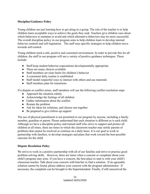# **Discipline/Guidance Policy**

Young children are just learning how to get along in a group. The role of the teacher is to help children learn acceptable ways to achieve the goals they seek. Teachers give children cues about which behaviors to maintain or avoid and which alternative behaviors may be more successful. The overall discipline policy in our program aims to help children learn to develop internal behavior controls and self-regulation. The staff uses specific strategies to help children move towards self-control.

Young children need a safe, positive and consistent environment. In order to provide this for all children, the staff in our program will use a variety of positive guidance techniques. These include:

- Staff keep student behavior expectations developmentally appropriate
- There are many choices available
- Staff members set clear limits for children's behavior
- A consistent daily routine is established
- Staff model respectful ways to interact with others and use materials
- Staff members plan for transitions

If a dispute or conflict arises, staff members will use the following conflict resolution steps

- Approach the situation calmly
- Acknowledge the feelings of all children
- Gather information about the conflict
- Restate the problem
- Ask for ideas for solutions, and choose one together
- Be prepared to give follow-up support

The use of physical punishment is not permitted in our program by anyone, including a family member, guardian or parent. Please understand that each situation is different as is each child. Although we have a discipline policy and trained staff who strive to support and protect all children at all times, there are times in which the classroom teacher may notify parents of problems that cannot be resolved or continue on a daily basis. It is our goal to work in partnership with families, to develop strategies and plans that work toward the best possible outcome for the child.

## **Dispute Resolution Policy**

We strive to work in a positive partnership with all of our families and strive to practice good problem-solving skills. However, there are times when a concern or complaint about your child's program may arise. If you have a concern, the best place to start is with your child's classroom teacher. Talk about your concern with him/her to find a solution. If an agreeable solution cannot be found, please address your concern with the program administrator. If necessary, the complaint can be brought to the Superintendent. Finally, if still unresolved the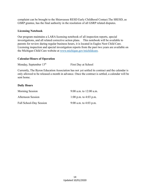complaint can be brought to the Shiawassee RESD Early Childhood Contact.The SRESD, as GSRP grantee, has the final authority in the resolution of all GSRP related disputes.

## **Licensing Notebook**

Our program maintains a LARA licensing notebook of all inspection reports, special investigations, and all related corrective action plans. This notebook will be available to parents for review during regular business hours, it is located in Eagles Nest Child Care. Licensing inspection and special investigation reports from the past two years are available on the Michigan Child Care website at www.michigan.gov/michildcare.

## **Calendar/Hours of Operation**

Monday, September 13<sup>th</sup> First Day at School

Currently, The Byron Education Association has not yet settled its contract and the calendar is only allowed to be released a month in advance. Once the contract is settled, a calendar will be sent home.

### **Daily Hours**

| Morning Session                | 9:00 a.m. to $12:00$ a.m. |
|--------------------------------|---------------------------|
| Afternoon Session              | 1:00 p.m. to 4:03 p.m.    |
| <b>Full School-Day Session</b> | 9:00 a.m. to 4:03 p.m.    |